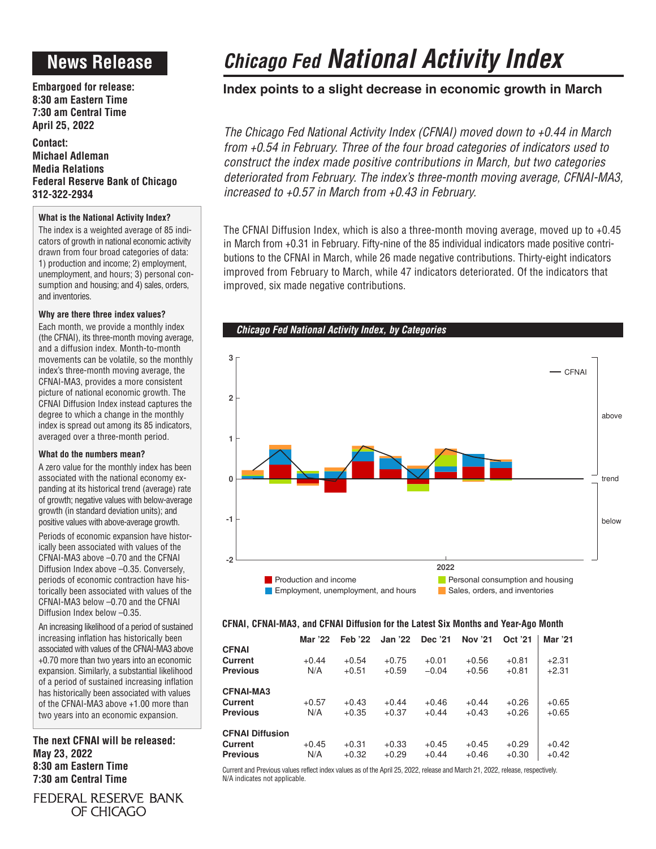## **News Release**

**Embargoed for release: 8:30 am Eastern Time 7:30 am Central Time April 25, 2022**

**Contact: Michael Adleman Media Relations Federal Reserve Bank of Chicago 312-322-2934**

### **What is the National Activity Index?**

The index is a weighted average of 85 indicators of growth in national economic activity drawn from four broad categories of data: 1) production and income; 2) employment, unemployment, and hours; 3) personal consumption and housing; and 4) sales, orders, and inventories.

### **Why are there three index values?**

Each month, we provide a monthly index (the CFNAI), its three-month moving average, and a diffusion index. Month-to-month movements can be volatile, so the monthly index's three-month moving average, the CFNAI-MA3, provides a more consistent picture of national economic growth. The CFNAI Diffusion Index instead captures the degree to which a change in the monthly index is spread out among its 85 indicators, averaged over a three-month period.

### **What do the numbers mean?**

A zero value for the monthly index has been associated with the national economy expanding at its historical trend (average) rate of growth; negative values with below-average growth (in standard deviation units); and positive values with above-average growth.

Periods of economic expansion have historically been associated with values of the CFNAI-MA3 above –0.70 and the CFNAI Diffusion Index above –0.35. Conversely, periods of economic contraction have historically been associated with values of the CFNAI-MA3 below –0.70 and the CFNAI Diffusion Index below –0.35.

An increasing likelihood of a period of sustained increasing inflation has historically been associated with values of the CFNAI-MA3 above +0.70 more than two years into an economic expansion. Similarly, a substantial likelihood of a period of sustained increasing inflation has historically been associated with values of the CFNAI-MA3 above +1.00 more than two years into an economic expansion.

**The next CFNAI will be released: May 23, 2022 8:30 am Eastern Time 7:30 am Central Time**

FEDERAL RESERVE BANK OF CHICAGO

# *Chicago Fed National Activity Index*

### **Index points to a slight decrease in economic growth in March**

*The Chicago Fed National Activity Index (CFNAI) moved down to +0.44 in March from +0.54 in February. Three of the four broad categories of indicators used to construct the index made positive contributions in March, but two categories deteriorated from February. The index's three-month moving average, CFNAI-MA3, increased to +0.57 in March from +0.43 in February.*

The CFNAI Diffusion Index, which is also a three-month moving average, moved up to +0.45 in March from +0.31 in February. Fifty-nine of the 85 individual indicators made positive contributions to the CFNAI in March, while 26 made negative contributions. Thirty-eight indicators improved from February to March, while 47 indicators deteriorated. Of the indicators that improved, six made negative contributions.





### **CFNAI, CFNAI-MA3, and CFNAI Diffusion for the Latest Six Months and Year-Ago Month**

|                                                      | Mar '22        | <b>Feb</b> '22     | <b>Jan '22</b>     | Dec '21            | Nov '21            | Oct '21            | Mar '21            |
|------------------------------------------------------|----------------|--------------------|--------------------|--------------------|--------------------|--------------------|--------------------|
| <b>CFNAI</b><br>Current<br><b>Previous</b>           | $+0.44$<br>N/A | $+0.54$<br>$+0.51$ | $+0.75$<br>$+0.59$ | $+0.01$<br>$-0.04$ | $+0.56$<br>$+0.56$ | $+0.81$<br>$+0.81$ | $+2.31$<br>$+2.31$ |
| <b>CFNAI-MA3</b><br>Current<br><b>Previous</b>       | $+0.57$<br>N/A | $+0.43$<br>$+0.35$ | $+0.44$<br>$+0.37$ | $+0.46$<br>$+0.44$ | $+0.44$<br>$+0.43$ | $+0.26$<br>$+0.26$ | $+0.65$<br>$+0.65$ |
| <b>CFNAI Diffusion</b><br>Current<br><b>Previous</b> | $+0.45$<br>N/A | $+0.31$<br>$+0.32$ | $+0.33$<br>$+0.29$ | $+0.45$<br>$+0.44$ | $+0.45$<br>$+0.46$ | $+0.29$<br>$+0.30$ | $+0.42$<br>$+0.42$ |

Current and Previous values reflect index values as of the April 25, 2022, release and March 21, 2022, release, respectively. N/A indicates not applicable.